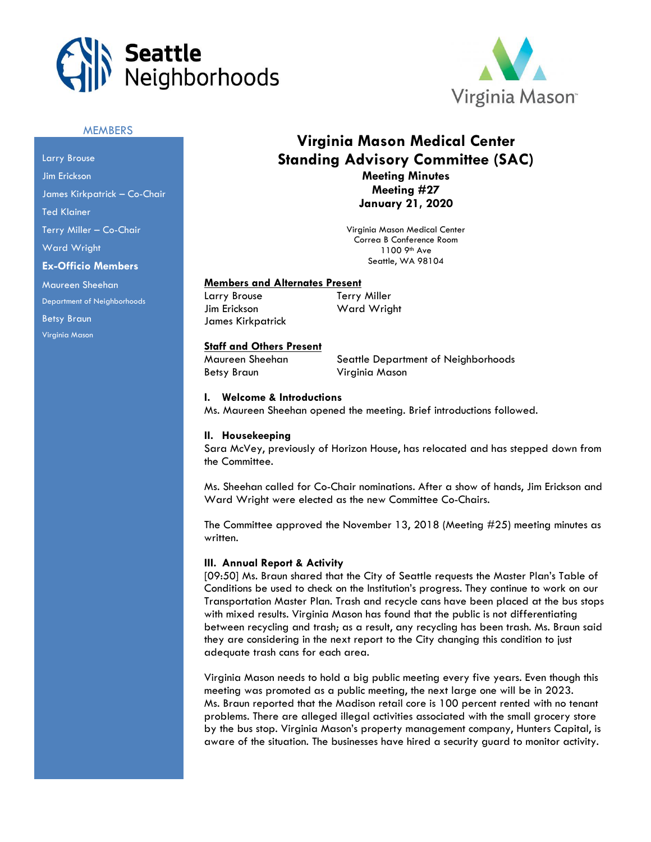



## **MEMBERS**

Larry Brouse Jim Erickson James Kirkpatrick – Co-Chair Ted Klainer Terry Miller – Co-Chair Ward Wright **Ex-Officio Members** Maureen Sheehan Department of Neighborhoods

Betsy Braun Virginia Mason

# **Virginia Mason Medical Center Standing Advisory Committee (SAC) Meeting Minutes Meeting #27**

**January 21, 2020**

Virginia Mason Medical Center Correa B Conference Room 1100 9th Ave Seattle, WA 98104

## **Members and Alternates Present**

Larry Brouse Terry Miller Jim Erickson Ward Wright

## **Staff and Others Present**

Betsy Braun Virginia Mason

James Kirkpatrick

Maureen Sheehan Seattle Department of Neighborhoods

#### **I. Welcome & Introductions**

Ms. Maureen Sheehan opened the meeting. Brief introductions followed.

#### **II. Housekeeping**

Sara McVey, previously of Horizon House, has relocated and has stepped down from the Committee.

Ms. Sheehan called for Co-Chair nominations. After a show of hands, Jim Erickson and Ward Wright were elected as the new Committee Co-Chairs.

The Committee approved the November 13, 2018 (Meeting #25) meeting minutes as written.

## **III. Annual Report & Activity**

[09:50] Ms. Braun shared that the City of Seattle requests the Master Plan's Table of Conditions be used to check on the Institution's progress. They continue to work on our Transportation Master Plan. Trash and recycle cans have been placed at the bus stops with mixed results. Virginia Mason has found that the public is not differentiating between recycling and trash; as a result, any recycling has been trash. Ms. Braun said they are considering in the next report to the City changing this condition to just adequate trash cans for each area.

Virginia Mason needs to hold a big public meeting every five years. Even though this meeting was promoted as a public meeting, the next large one will be in 2023. Ms. Braun reported that the Madison retail core is 100 percent rented with no tenant problems. There are alleged illegal activities associated with the small grocery store by the bus stop. Virginia Mason's property management company, Hunters Capital, is aware of the situation. The businesses have hired a security guard to monitor activity.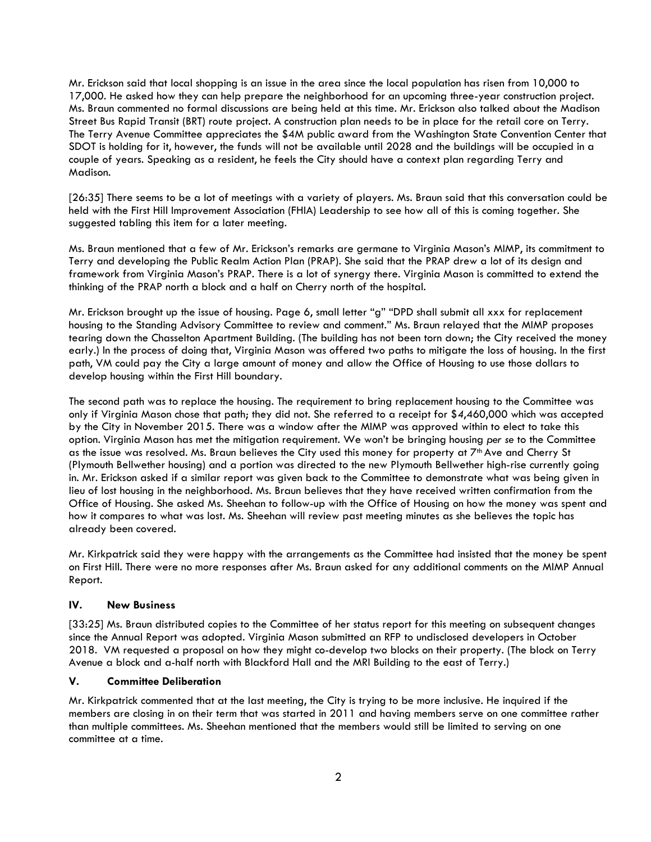Mr. Erickson said that local shopping is an issue in the area since the local population has risen from 10,000 to 17,000. He asked how they can help prepare the neighborhood for an upcoming three-year construction project. Ms. Braun commented no formal discussions are being held at this time. Mr. Erickson also talked about the Madison Street Bus Rapid Transit (BRT) route project. A construction plan needs to be in place for the retail core on Terry. The Terry Avenue Committee appreciates the \$4M public award from the Washington State Convention Center that SDOT is holding for it, however, the funds will not be available until 2028 and the buildings will be occupied in a couple of years. Speaking as a resident, he feels the City should have a context plan regarding Terry and Madison.

[26:35] There seems to be a lot of meetings with a variety of players. Ms. Braun said that this conversation could be held with the First Hill Improvement Association (FHIA) Leadership to see how all of this is coming together. She suggested tabling this item for a later meeting.

Ms. Braun mentioned that a few of Mr. Erickson's remarks are germane to Virginia Mason's MIMP, its commitment to Terry and developing the Public Realm Action Plan (PRAP). She said that the PRAP drew a lot of its design and framework from Virginia Mason's PRAP. There is a lot of synergy there. Virginia Mason is committed to extend the thinking of the PRAP north a block and a half on Cherry north of the hospital.

Mr. Erickson brought up the issue of housing. Page 6, small letter "g" "DPD shall submit all xxx for replacement housing to the Standing Advisory Committee to review and comment." Ms. Braun relayed that the MIMP proposes tearing down the Chasselton Apartment Building. (The building has not been torn down; the City received the money early.) In the process of doing that, Virginia Mason was offered two paths to mitigate the loss of housing. In the first path, VM could pay the City a large amount of money and allow the Office of Housing to use those dollars to develop housing within the First Hill boundary.

The second path was to replace the housing. The requirement to bring replacement housing to the Committee was only if Virginia Mason chose that path; they did not. She referred to a receipt for \$*4*,460,000 which was accepted by the City in November 2015. There was a window after the MIMP was approved within to elect to take this option. Virginia Mason has met the mitigation requirement. We won't be bringing housing *per se* to the Committee as the issue was resolved. Ms. Braun believes the City used this money for property at 7<sup>th</sup> Ave and Cherry St (Plymouth Bellwether housing) and a portion was directed to the new Plymouth Bellwether high-rise currently going in. Mr. Erickson asked if a similar report was given back to the Committee to demonstrate what was being given in lieu of lost housing in the neighborhood. Ms. Braun believes that they have received written confirmation from the Office of Housing. She asked Ms. Sheehan to follow-up with the Office of Housing on how the money was spent and how it compares to what was lost. Ms. Sheehan will review past meeting minutes as she believes the topic has already been covered.

Mr. Kirkpatrick said they were happy with the arrangements as the Committee had insisted that the money be spent on First Hill. There were no more responses after Ms. Braun asked for any additional comments on the MIMP Annual Report.

## **IV. New Business**

[33:25] Ms. Braun distributed copies to the Committee of her status report for this meeting on subsequent changes since the Annual Report was adopted. Virginia Mason submitted an RFP to undisclosed developers in October 2018. VM requested a proposal on how they might co-develop two blocks on their property. (The block on Terry Avenue a block and a-half north with Blackford Hall and the MRI Building to the east of Terry.)

## **V. Committee Deliberation**

Mr. Kirkpatrick commented that at the last meeting, the City is trying to be more inclusive. He inquired if the members are closing in on their term that was started in 2011 and having members serve on one committee rather than multiple committees. Ms. Sheehan mentioned that the members would still be limited to serving on one committee at a time.